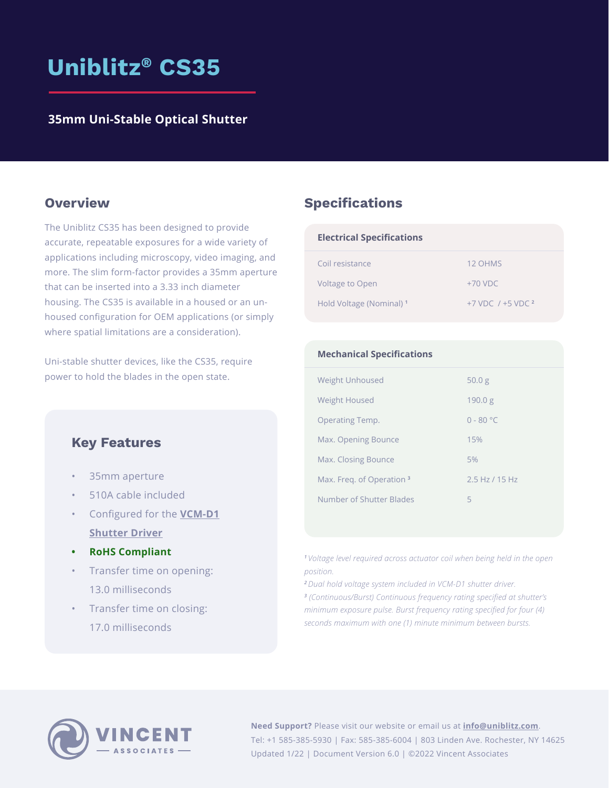# **Uniblitz® CS35**

### **35mm Uni-Stable Optical Shutter**

The Uniblitz CS35 has been designed to provide accurate, repeatable exposures for a wide variety of applications including microscopy, video imaging, and more. The slim form-factor provides a 35mm aperture that can be inserted into a 3.33 inch diameter housing. The CS35 is available in a housed or an unhoused configuration for OEM applications (or simply where spatial limitations are a consideration).

Uni-stable shutter devices, like the CS35, require power to hold the blades in the open state.

### **Key Features**

- 35mm aperture
- 510A cable included
- Configured for the **VCM-D1 Shutter Driver**
- **• RoHS Compliant**
- Transfer time on opening: 13.0 milliseconds
- Transfer time on closing: 17.0 milliseconds

### **Overview <b>Specifications**

| <b>Electrical Specifications</b>    |                         |
|-------------------------------------|-------------------------|
| Coil resistance                     | 12 OHMS                 |
| <b>Voltage to Open</b>              | $+70$ VDC               |
| Hold Voltage (Nominal) <sup>1</sup> | $+7$ VDC $/ +5$ VDC $2$ |

| <b>Mechanical Specifications</b>     |                 |
|--------------------------------------|-----------------|
| <b>Weight Unhoused</b>               | 50.0 g          |
| <b>Weight Housed</b>                 | 190.0 g         |
| Operating Temp.                      | $0 - 80 °C$     |
| Max. Opening Bounce                  | 15%             |
| Max. Closing Bounce                  | 5%              |
| Max. Freq. of Operation <sup>3</sup> | $2.5 H7$ /15 Hz |
| Number of Shutter Blades             | 5               |

*<sup>1</sup>Voltage level required across actuator coil when being held in the open position.*

*<sup>2</sup>Dual hold voltage system included in [VCM-D1 shutter driver](https://www.uniblitz.com/products/vcm-d1-shutter-driver/).*

*3 (Continuous/Burst) Continuous frequency rating specified at shutter's minimum exposure pulse. Burst frequency rating specified for four (4) seconds maximum with one (1) minute minimum between bursts.*



**Need Support?** Please visit our website or email us at **[info@uniblitz.com](mailto:info%40uniblitz.com?subject=)**. Tel: +1 585-385-5930 | Fax: 585-385-6004 | 803 Linden Ave. Rochester, NY 14625 Updated 1/22 | Document Version 6.0 | ©2022 Vincent Associates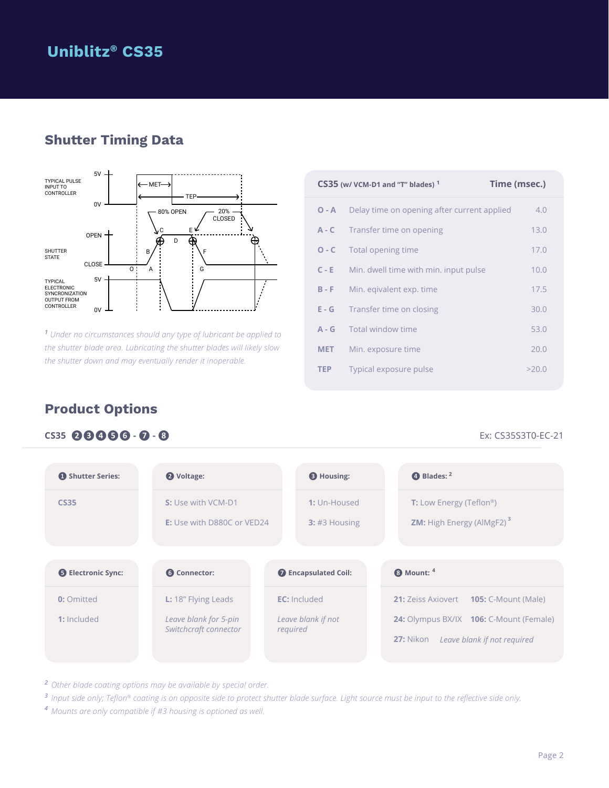## **Uniblitz® CS35**

## **Shutter Timing Data**



*1 Under no circumstances should any type of lubricant be applied to the shutter blade area. Lubricating the shutter blades will likely slow the shutter down and may eventually render it inoperable.*

|            | $CS35$ (w/ VCM-D1 and "T" blades) $1$       | Time (msec.) |
|------------|---------------------------------------------|--------------|
| $O - A$    | Delay time on opening after current applied | 4.0          |
| $A - C$    | Transfer time on opening                    | 13.0         |
| $O - C$    | Total opening time                          | 17.0         |
| $C - E$    | Min. dwell time with min. input pulse       | 10.0         |
| $B - F$    | Min. eqivalent exp. time                    | 17.5         |
| $E - G$    | Transfer time on closing                    | 30.0         |
| $A - G$    | Total window time                           | 53.0         |
| <b>MET</b> | Min. exposure time                          | 20.0         |
| <b>TEP</b> | Typical exposure pulse                      | >20.0        |

## **Product Options**

### **CS35 ❷❸❹❺❻ - ❼ - ❽** Ex: CS35S3T0-EC-21

| Shutter Series:           | 2 Voltage:                                              | <b>B</b> Housing:               | 4 Blades: 2                                                                                 |
|---------------------------|---------------------------------------------------------|---------------------------------|---------------------------------------------------------------------------------------------|
| <b>CS35</b>               | S: Use with VCM-D1<br><b>E:</b> Use with D880C or VED24 | 1: Un-Housed<br>$3:$ #3 Housing | <b>T:</b> Low Energy (Teflon <sup>®</sup> )<br><b>ZM:</b> High Energy (AlMgF2) <sup>3</sup> |
| <b>B</b> Electronic Sync: | <b>6</b> Connector:                                     |                                 |                                                                                             |
|                           |                                                         | <b>O</b> Encapsulated Coil:     | <sup>4</sup> Mount: 4                                                                       |

*<sup>2</sup> Other blade coating options may be available by special order.*

*<sup>3</sup> Input side only; Teflon® coating is on opposite side to protect shutter blade surface. Light source must be input to the reflective side only.*

*<sup>4</sup> Mounts are only compatible if #3 housing is optioned as well.*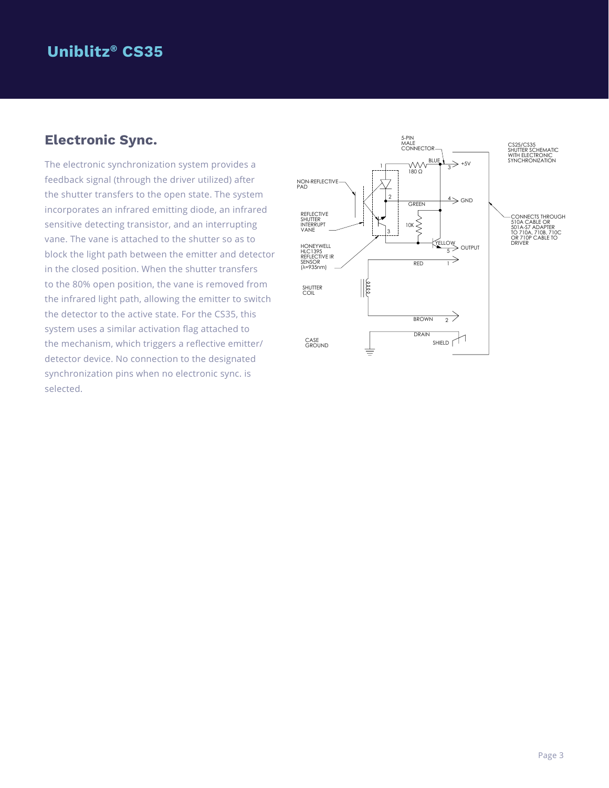## **Uniblitz® CS35**

## **Electronic Sync.**

The electronic synchronization system provides a feedback signal (through the driver utilized) after the shutter transfers to the open state. The system incorporates an infrared emitting diode, an infrared sensitive detecting transistor, and an interrupting vane. The vane is attached to the shutter so as to block the light path between the emitter and detector in the closed position. When the shutter transfers to the 80% open position, the vane is removed from the infrared light path, allowing the emitter to switch the detector to the active state. For the CS35, this system uses a similar activation flag attached to the mechanism, which triggers a reflective emitter/ detector device. No connection to the designated synchronization pins when no electronic sync. is selected.

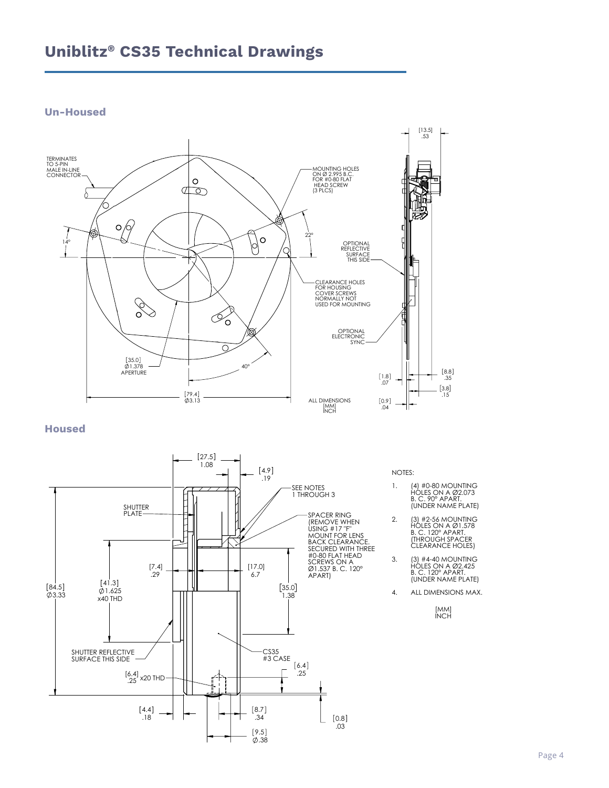## **Uniblitz® CS35 Technical Drawings**

### **Un-Housed**



**Housed**



NOTES:

- 1. (4) #0-80 MOUNTING HOLES ON A Ø2.073 B. C. 90° APART. (UNDER NAME PLATE)
- 2. (3) #2-56 MOUNTING HOLES ON A Ø1.578 B. C. 120° APART. (THROUGH SPACER CLEARANCE HOLES)
- 3. (3) #4-40 MOUNTING HOLES ON A Ø2.425 B. C. 120° APART. (UNDER NAME PLATE)
- 4. ALL DIMENSIONS MAX.

[MM] INCH